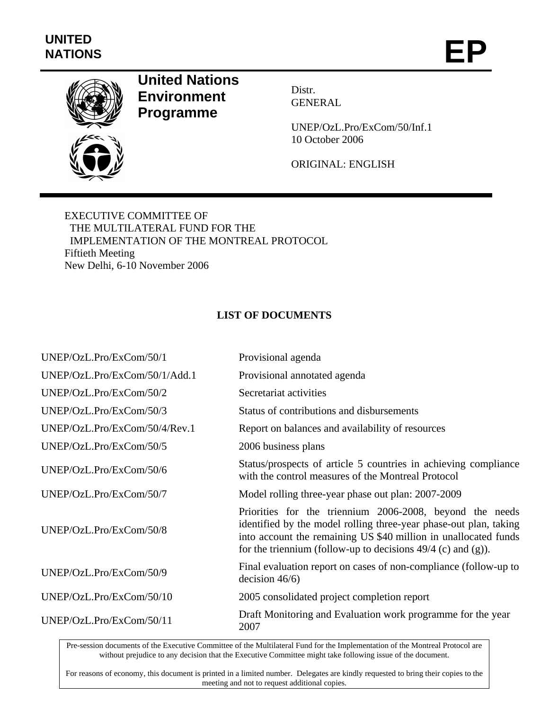

## **United Nations Environment Programme**

Distr. GENERAL

UNEP/OzL.Pro/ExCom/50/Inf.1 10 October 2006

ORIGINAL: ENGLISH

EXECUTIVE COMMITTEE OF THE MULTILATERAL FUND FOR THE IMPLEMENTATION OF THE MONTREAL PROTOCOL Fiftieth Meeting New Delhi, 6-10 November 2006

## **LIST OF DOCUMENTS**

| UNEP/OzL.Pro/ExCom/50/1       | Provisional agenda                                                                                                                                                                                                                                                 |
|-------------------------------|--------------------------------------------------------------------------------------------------------------------------------------------------------------------------------------------------------------------------------------------------------------------|
| UNEP/OzL.Pro/ExCom/50/1/Add.1 | Provisional annotated agenda                                                                                                                                                                                                                                       |
| UNEP/OzL.Pro/ExCom/50/2       | Secretariat activities                                                                                                                                                                                                                                             |
| UNEP/OzL.Pro/ExCom/50/3       | Status of contributions and disbursements                                                                                                                                                                                                                          |
| UNEP/OzL.Pro/ExCom/50/4/Rev.1 | Report on balances and availability of resources                                                                                                                                                                                                                   |
| UNEP/OzL.Pro/ExCom/50/5       | 2006 business plans                                                                                                                                                                                                                                                |
| UNEP/OzL.Pro/ExCom/50/6       | Status/prospects of article 5 countries in achieving compliance<br>with the control measures of the Montreal Protocol                                                                                                                                              |
| UNEP/OzL.Pro/ExCom/50/7       | Model rolling three-year phase out plan: 2007-2009                                                                                                                                                                                                                 |
| UNEP/OzL.Pro/ExCom/50/8       | Priorities for the triennium 2006-2008, beyond the needs<br>identified by the model rolling three-year phase-out plan, taking<br>into account the remaining US \$40 million in unallocated funds<br>for the triennium (follow-up to decisions $49/4$ (c) and (g)). |
| UNEP/OzL.Pro/ExCom/50/9       | Final evaluation report on cases of non-compliance (follow-up to<br>decision $46/6$ )                                                                                                                                                                              |
| UNEP/OzL.Pro/ExCom/50/10      | 2005 consolidated project completion report                                                                                                                                                                                                                        |
| UNEP/OzL.Pro/ExCom/50/11      | Draft Monitoring and Evaluation work programme for the year<br>2007                                                                                                                                                                                                |

Pre-session documents of the Executive Committee of the Multilateral Fund for the Implementation of the Montreal Protocol are without prejudice to any decision that the Executive Committee might take following issue of the document.

For reasons of economy, this document is printed in a limited number. Delegates are kindly requested to bring their copies to the meeting and not to request additional copies.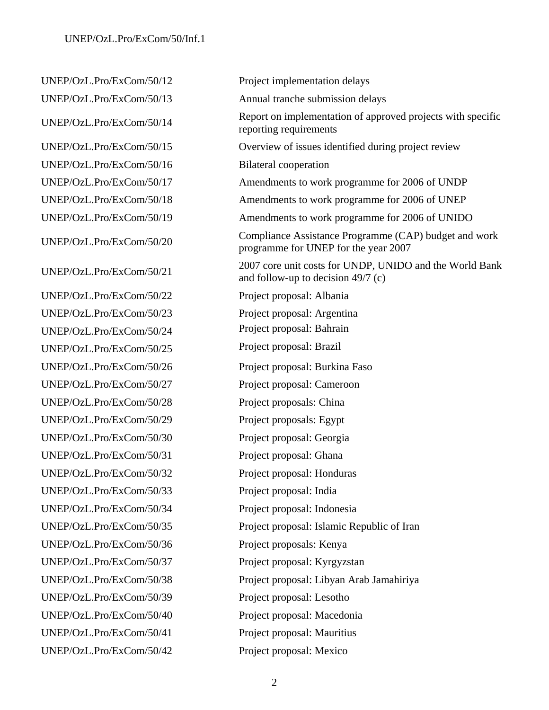UNEP/OzL.Pro/ExCom/50/16 Bilateral cooperation UNEP/OzL.Pro/ExCom/50/22 Project proposal: Albania UNEP/OzL.Pro/ExCom/50/23 Project proposal: Argentina UNEP/OzL.Pro/ExCom/50/24 Project proposal: Bahrain UNEP/OzL.Pro/ExCom/50/25 Project proposal: Brazil UNEP/OzL.Pro/ExCom/50/27 Project proposal: Cameroon UNEP/OzL.Pro/ExCom/50/28 Project proposals: China UNEP/OzL.Pro/ExCom/50/29 Project proposals: Egypt UNEP/OzL.Pro/ExCom/50/30 Project proposal: Georgia UNEP/OzL.Pro/ExCom/50/31 Project proposal: Ghana UNEP/OzL.Pro/ExCom/50/32 Project proposal: Honduras UNEP/OzL.Pro/ExCom/50/33 Project proposal: India UNEP/OzL.Pro/ExCom/50/34 Project proposal: Indonesia UNEP/OzL.Pro/ExCom/50/36 Project proposals: Kenya UNEP/OzL.Pro/ExCom/50/39 Project proposal: Lesotho UNEP/OzL.Pro/ExCom/50/41 Project proposal: Mauritius

UNEP/OzL.Pro/ExCom/50/12 Project implementation delays UNEP/OzL.Pro/ExCom/50/13 Annual tranche submission delays UNEP/OzL.Pro/ExCom/50/14 Report on implementation of approved projects with specific reporting requirements UNEP/OzL.Pro/ExCom/50/15 Overview of issues identified during project review UNEP/OzL.Pro/ExCom/50/17 Amendments to work programme for 2006 of UNDP UNEP/OzL.Pro/ExCom/50/18 Amendments to work programme for 2006 of UNEP UNEP/OzL.Pro/ExCom/50/19 Amendments to work programme for 2006 of UNIDO UNEP/OzL.Pro/ExCom/50/20 Compliance Assistance Programme (CAP) budget and work programme for UNEP for the year 2007 UNEP/OzL.Pro/ExCom/50/21 2007 core unit costs for UNDP, UNIDO and the World Bank and follow-up to decision 49/7 (c) UNEP/OzL.Pro/ExCom/50/26 Project proposal: Burkina Faso UNEP/OzL.Pro/ExCom/50/35 Project proposal: Islamic Republic of Iran UNEP/OzL.Pro/ExCom/50/37 Project proposal: Kyrgyzstan UNEP/OzL.Pro/ExCom/50/38 Project proposal: Libyan Arab Jamahiriya UNEP/OzL.Pro/ExCom/50/40 Project proposal: Macedonia UNEP/OzL.Pro/ExCom/50/42 Project proposal: Mexico